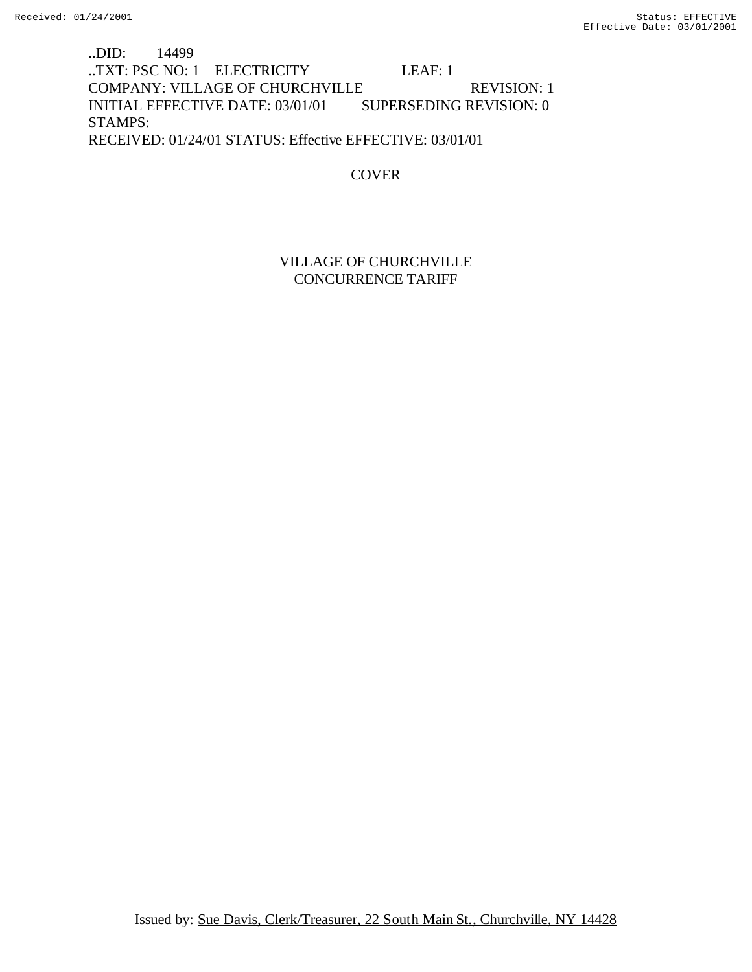..DID: 14499 ..TXT: PSC NO: 1 ELECTRICITY LEAF: 1 COMPANY: VILLAGE OF CHURCHVILLE REVISION: 1 INITIAL EFFECTIVE DATE: 03/01/01 SUPERSEDING REVISION: 0 STAMPS: RECEIVED: 01/24/01 STATUS: Effective EFFECTIVE: 03/01/01

## COVER

## VILLAGE OF CHURCHVILLE CONCURRENCE TARIFF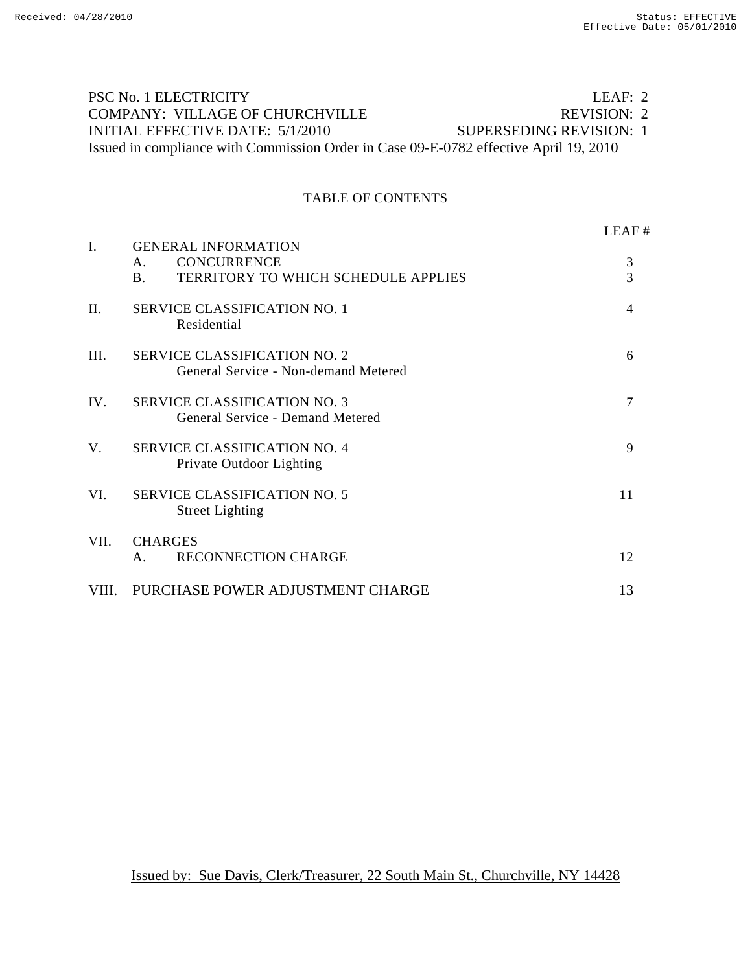# PSC No. 1 ELECTRICITY LEAF: 2 COMPANY: VILLAGE OF CHURCHVILLE REVISION: 2 INITIAL EFFECTIVE DATE: 5/1/2010 SUPERSEDING REVISION: 1 Issued in compliance with Commission Order in Case 09-E-0782 effective April 19, 2010

## TABLE OF CONTENTS

|       |                                                                                                                         | LEAF#          |
|-------|-------------------------------------------------------------------------------------------------------------------------|----------------|
| I.    | <b>GENERAL INFORMATION</b><br><b>CONCURRENCE</b><br>$\mathsf{A}$ .<br>TERRITORY TO WHICH SCHEDULE APPLIES<br>$\bf{B}$ . | 3<br>3         |
| II.   | <b>SERVICE CLASSIFICATION NO. 1</b><br>Residential                                                                      | $\overline{4}$ |
| III.  | <b>SERVICE CLASSIFICATION NO. 2</b><br>General Service - Non-demand Metered                                             | 6              |
| IV.   | <b>SERVICE CLASSIFICATION NO. 3</b><br>General Service - Demand Metered                                                 | 7              |
| V.    | <b>SERVICE CLASSIFICATION NO. 4</b><br>Private Outdoor Lighting                                                         | 9              |
| VI.   | <b>SERVICE CLASSIFICATION NO. 5</b><br><b>Street Lighting</b>                                                           | 11             |
| VII.  | <b>CHARGES</b><br><b>RECONNECTION CHARGE</b><br>A.                                                                      | 12             |
| VIII. | PURCHASE POWER ADJUSTMENT CHARGE                                                                                        | 13             |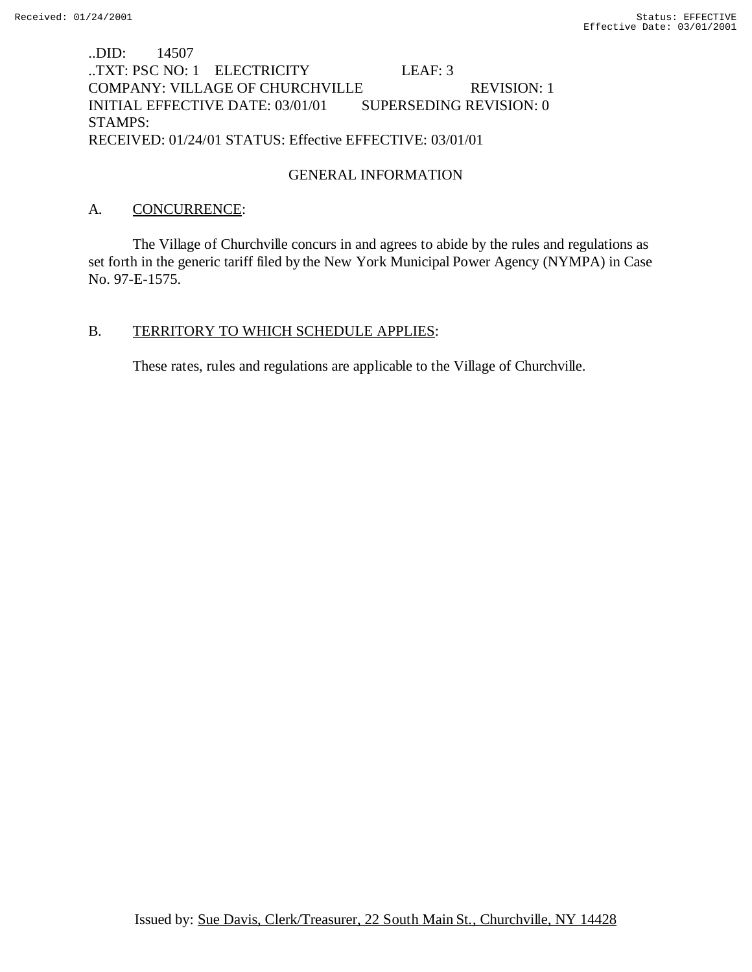## ..DID: 14507 ..TXT: PSC NO: 1 ELECTRICITY LEAF: 3 COMPANY: VILLAGE OF CHURCHVILLE REVISION: 1 INITIAL EFFECTIVE DATE: 03/01/01 SUPERSEDING REVISION: 0 STAMPS: RECEIVED: 01/24/01 STATUS: Effective EFFECTIVE: 03/01/01

## GENERAL INFORMATION

## A. CONCURRENCE:

The Village of Churchville concurs in and agrees to abide by the rules and regulations as set forth in the generic tariff filed by the New York Municipal Power Agency (NYMPA) in Case No. 97-E-1575.

#### B. TERRITORY TO WHICH SCHEDULE APPLIES:

These rates, rules and regulations are applicable to the Village of Churchville.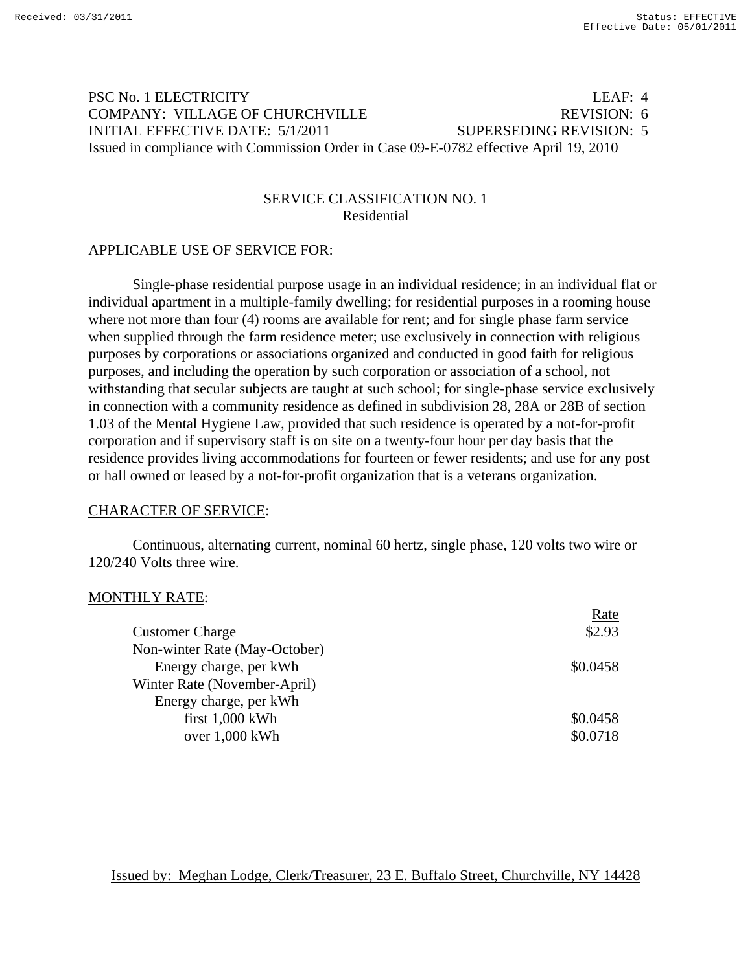# PSC No. 1 ELECTRICITY LEAF: 4 COMPANY: VILLAGE OF CHURCHVILLE REVISION: 6 INITIAL EFFECTIVE DATE: 5/1/2011 SUPERSEDING REVISION: 5 Issued in compliance with Commission Order in Case 09-E-0782 effective April 19, 2010

## SERVICE CLASSIFICATION NO. 1 Residential

## APPLICABLE USE OF SERVICE FOR:

Single-phase residential purpose usage in an individual residence; in an individual flat or individual apartment in a multiple-family dwelling; for residential purposes in a rooming house where not more than four (4) rooms are available for rent; and for single phase farm service when supplied through the farm residence meter; use exclusively in connection with religious purposes by corporations or associations organized and conducted in good faith for religious purposes, and including the operation by such corporation or association of a school, not withstanding that secular subjects are taught at such school; for single-phase service exclusively in connection with a community residence as defined in subdivision 28, 28A or 28B of section 1.03 of the Mental Hygiene Law, provided that such residence is operated by a not-for-profit corporation and if supervisory staff is on site on a twenty-four hour per day basis that the residence provides living accommodations for fourteen or fewer residents; and use for any post or hall owned or leased by a not-for-profit organization that is a veterans organization.

## CHARACTER OF SERVICE:

Continuous, alternating current, nominal 60 hertz, single phase, 120 volts two wire or 120/240 Volts three wire.

## MONTHLY RATE:

| Rate     |
|----------|
| \$2.93   |
|          |
| \$0.0458 |
|          |
|          |
| \$0.0458 |
| \$0.0718 |
|          |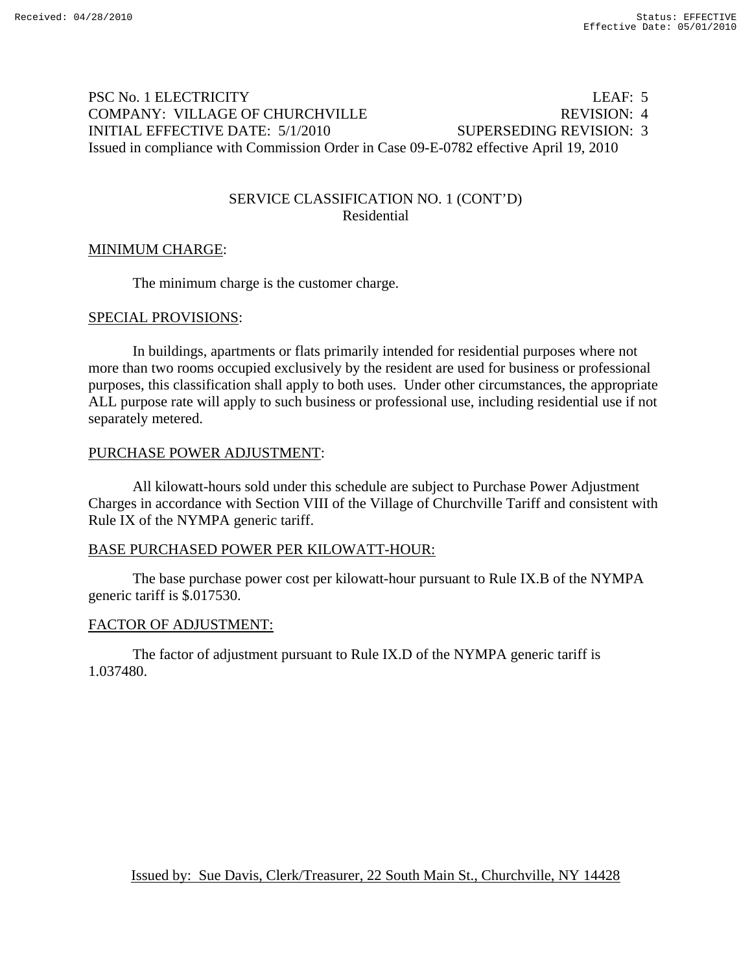# PSC No. 1 ELECTRICITY LEAF: 5 COMPANY: VILLAGE OF CHURCHVILLE REVISION: 4 INITIAL EFFECTIVE DATE: 5/1/2010 SUPERSEDING REVISION: 3 Issued in compliance with Commission Order in Case 09-E-0782 effective April 19, 2010

## SERVICE CLASSIFICATION NO. 1 (CONT'D) Residential

## MINIMUM CHARGE:

The minimum charge is the customer charge.

#### SPECIAL PROVISIONS:

In buildings, apartments or flats primarily intended for residential purposes where not more than two rooms occupied exclusively by the resident are used for business or professional purposes, this classification shall apply to both uses. Under other circumstances, the appropriate ALL purpose rate will apply to such business or professional use, including residential use if not separately metered.

#### PURCHASE POWER ADJUSTMENT:

 All kilowatt-hours sold under this schedule are subject to Purchase Power Adjustment Charges in accordance with Section VIII of the Village of Churchville Tariff and consistent with Rule IX of the NYMPA generic tariff.

## BASE PURCHASED POWER PER KILOWATT-HOUR:

 The base purchase power cost per kilowatt-hour pursuant to Rule IX.B of the NYMPA generic tariff is \$.017530.

## FACTOR OF ADJUSTMENT:

 The factor of adjustment pursuant to Rule IX.D of the NYMPA generic tariff is 1.037480.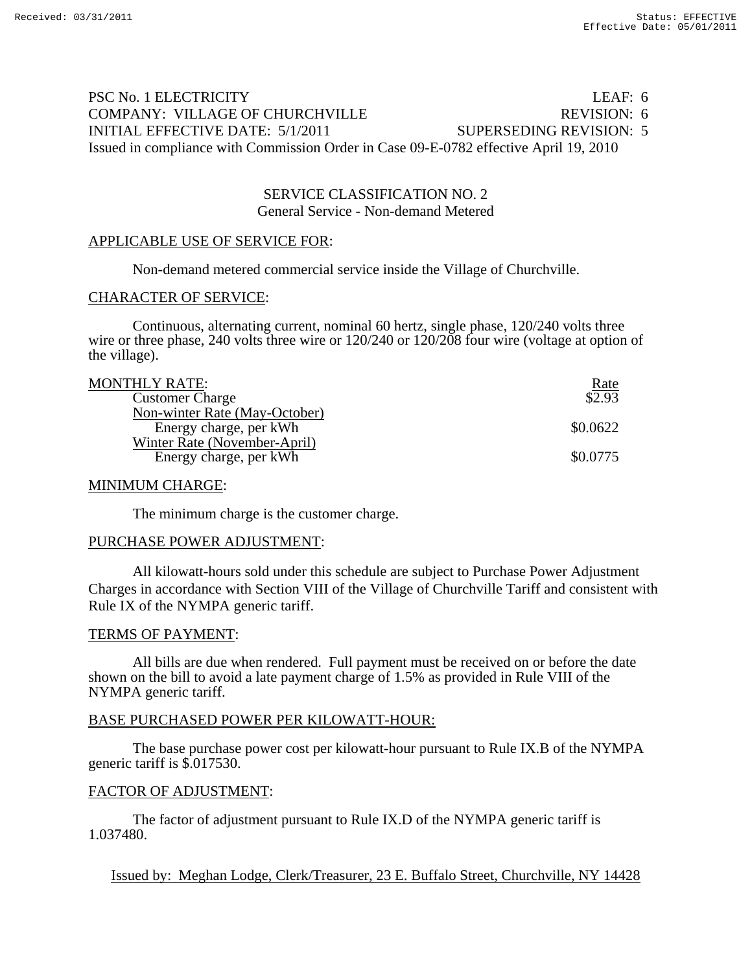# PSC No. 1 ELECTRICITY LEAF: 6 COMPANY: VILLAGE OF CHURCHVILLE REVISION: 6 INITIAL EFFECTIVE DATE: 5/1/2011 SUPERSEDING REVISION: 5 Issued in compliance with Commission Order in Case 09-E-0782 effective April 19, 2010

## SERVICE CLASSIFICATION NO. 2 General Service - Non-demand Metered

#### APPLICABLE USE OF SERVICE FOR:

Non-demand metered commercial service inside the Village of Churchville.

#### CHARACTER OF SERVICE:

Continuous, alternating current, nominal 60 hertz, single phase, 120/240 volts three wire or three phase, 240 volts three wire or 120/240 or 120/208 four wire (voltage at option of the village).

| <b>MONTHLY RATE:</b> |
|----------------------|
|----------------------|

| MONTHLY RATE:                 | <u>Rate</u> |
|-------------------------------|-------------|
| <b>Customer Charge</b>        | \$2.93      |
| Non-winter Rate (May-October) |             |
| Energy charge, per kWh        | \$0.0622    |
| Winter Rate (November-April)  |             |
| Energy charge, per kWh        | \$0.0775    |
|                               |             |

#### MINIMUM CHARGE:

The minimum charge is the customer charge.

#### PURCHASE POWER ADJUSTMENT:

 All kilowatt-hours sold under this schedule are subject to Purchase Power Adjustment Charges in accordance with Section VIII of the Village of Churchville Tariff and consistent with Rule IX of the NYMPA generic tariff.

#### TERMS OF PAYMENT:

All bills are due when rendered. Full payment must be received on or before the date shown on the bill to avoid a late payment charge of 1.5% as provided in Rule VIII of the NYMPA generic tariff.

#### BASE PURCHASED POWER PER KILOWATT-HOUR:

 The base purchase power cost per kilowatt-hour pursuant to Rule IX.B of the NYMPA generic tariff is \$.017530.

#### FACTOR OF ADJUSTMENT:

 The factor of adjustment pursuant to Rule IX.D of the NYMPA generic tariff is 1.037480.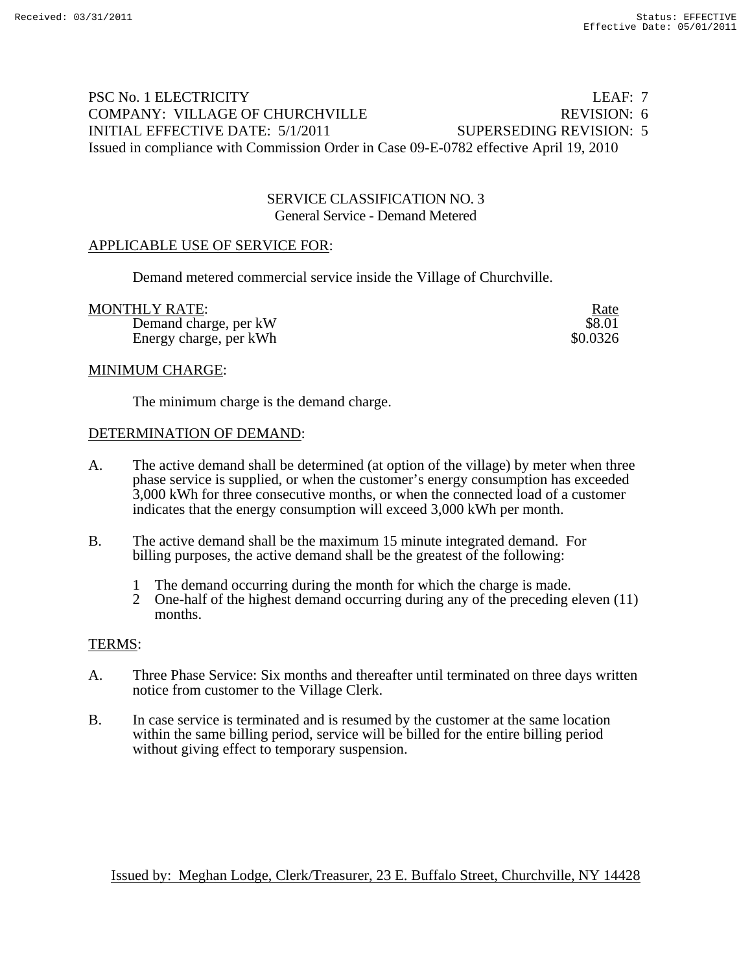# PSC No. 1 ELECTRICITY LEAF: 7 COMPANY: VILLAGE OF CHURCHVILLE REVISION: 6 INITIAL EFFECTIVE DATE: 5/1/2011 SUPERSEDING REVISION: 5 Issued in compliance with Commission Order in Case 09-E-0782 effective April 19, 2010

## SERVICE CLASSIFICATION NO. 3 General Service - Demand Metered

## APPLICABLE USE OF SERVICE FOR:

Demand metered commercial service inside the Village of Churchville.

MONTHLY RATE:<br>
Demand charge, per kW<br>
\$8.01 Demand charge, per kW Energy charge, per kWh  $\$0.0326$ 

#### MINIMUM CHARGE:

The minimum charge is the demand charge.

#### DETERMINATION OF DEMAND:

- A. The active demand shall be determined (at option of the village) by meter when three phase service is supplied, or when the customer's energy consumption has exceeded 3,000 kWh for three consecutive months, or when the connected load of a customer indicates that the energy consumption will exceed 3,000 kWh per month.
- B. The active demand shall be the maximum 15 minute integrated demand. For billing purposes, the active demand shall be the greatest of the following:
	- 1 The demand occurring during the month for which the charge is made.
	- 2 One-half of the highest demand occurring during any of the preceding eleven (11) months.

#### TERMS:

- A. Three Phase Service: Six months and thereafter until terminated on three days written notice from customer to the Village Clerk.
- B. In case service is terminated and is resumed by the customer at the same location within the same billing period, service will be billed for the entire billing period without giving effect to temporary suspension.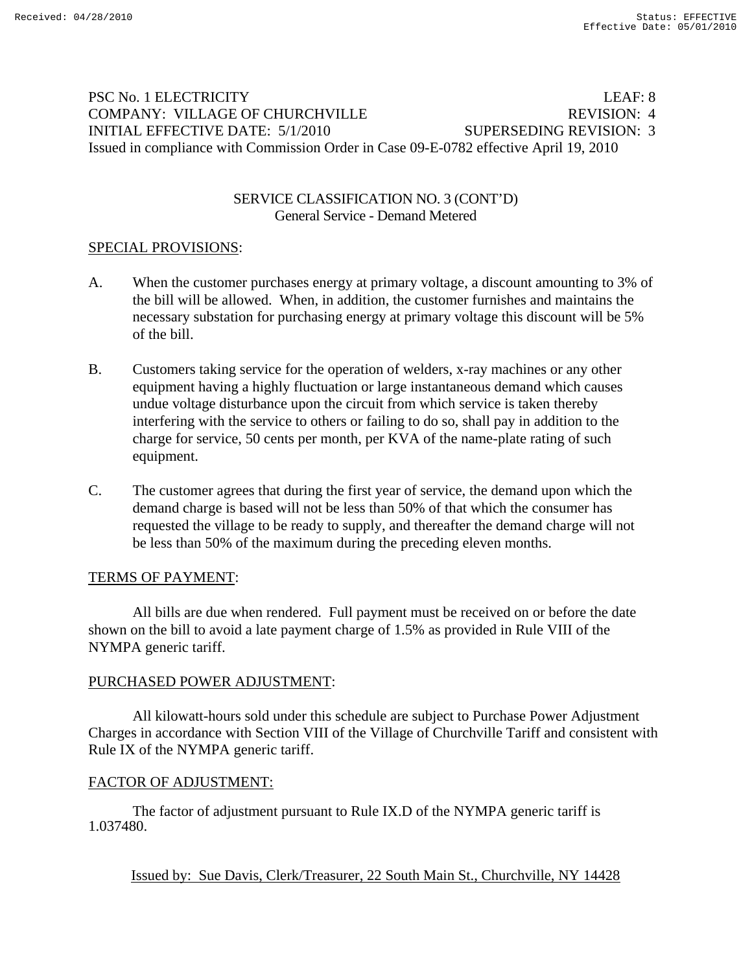# PSC No. 1 ELECTRICITY LEAF: 8 COMPANY: VILLAGE OF CHURCHVILLE REVISION: 4 INITIAL EFFECTIVE DATE: 5/1/2010 SUPERSEDING REVISION: 3 Issued in compliance with Commission Order in Case 09-E-0782 effective April 19, 2010

## SERVICE CLASSIFICATION NO. 3 (CONT'D) General Service - Demand Metered

# SPECIAL PROVISIONS:

- A. When the customer purchases energy at primary voltage, a discount amounting to 3% of the bill will be allowed. When, in addition, the customer furnishes and maintains the necessary substation for purchasing energy at primary voltage this discount will be 5% of the bill.
- B. Customers taking service for the operation of welders, x-ray machines or any other equipment having a highly fluctuation or large instantaneous demand which causes undue voltage disturbance upon the circuit from which service is taken thereby interfering with the service to others or failing to do so, shall pay in addition to the charge for service, 50 cents per month, per KVA of the name-plate rating of such equipment.
- C. The customer agrees that during the first year of service, the demand upon which the demand charge is based will not be less than 50% of that which the consumer has requested the village to be ready to supply, and thereafter the demand charge will not be less than 50% of the maximum during the preceding eleven months.

## TERMS OF PAYMENT:

All bills are due when rendered. Full payment must be received on or before the date shown on the bill to avoid a late payment charge of 1.5% as provided in Rule VIII of the NYMPA generic tariff.

# PURCHASED POWER ADJUSTMENT:

 All kilowatt-hours sold under this schedule are subject to Purchase Power Adjustment Charges in accordance with Section VIII of the Village of Churchville Tariff and consistent with Rule IX of the NYMPA generic tariff.

## FACTOR OF ADJUSTMENT:

 The factor of adjustment pursuant to Rule IX.D of the NYMPA generic tariff is 1.037480.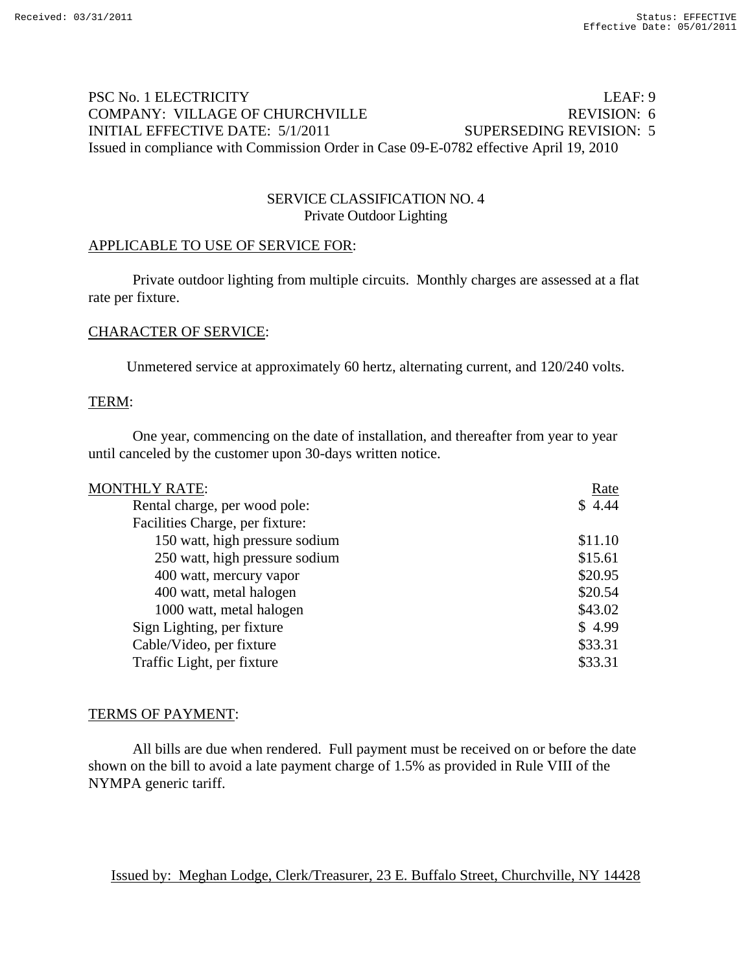# PSC No. 1 ELECTRICITY LEAF: 9 COMPANY: VILLAGE OF CHURCHVILLE REVISION: 6 INITIAL EFFECTIVE DATE: 5/1/2011 SUPERSEDING REVISION: 5 Issued in compliance with Commission Order in Case 09-E-0782 effective April 19, 2010

## SERVICE CLASSIFICATION NO. 4 Private Outdoor Lighting

#### APPLICABLE TO USE OF SERVICE FOR:

Private outdoor lighting from multiple circuits. Monthly charges are assessed at a flat rate per fixture.

#### CHARACTER OF SERVICE:

Unmetered service at approximately 60 hertz, alternating current, and 120/240 volts.

#### TERM:

One year, commencing on the date of installation, and thereafter from year to year until canceled by the customer upon 30-days written notice.

| <b>MONTHLY RATE:</b>            | Rate    |
|---------------------------------|---------|
| Rental charge, per wood pole:   | \$4.44  |
| Facilities Charge, per fixture: |         |
| 150 watt, high pressure sodium  | \$11.10 |
| 250 watt, high pressure sodium  | \$15.61 |
| 400 watt, mercury vapor         | \$20.95 |
| 400 watt, metal halogen         | \$20.54 |
| 1000 watt, metal halogen        | \$43.02 |
| Sign Lighting, per fixture      | \$4.99  |
| Cable/Video, per fixture        | \$33.31 |
| Traffic Light, per fixture      | \$33.31 |
|                                 |         |

#### TERMS OF PAYMENT:

All bills are due when rendered. Full payment must be received on or before the date shown on the bill to avoid a late payment charge of 1.5% as provided in Rule VIII of the NYMPA generic tariff.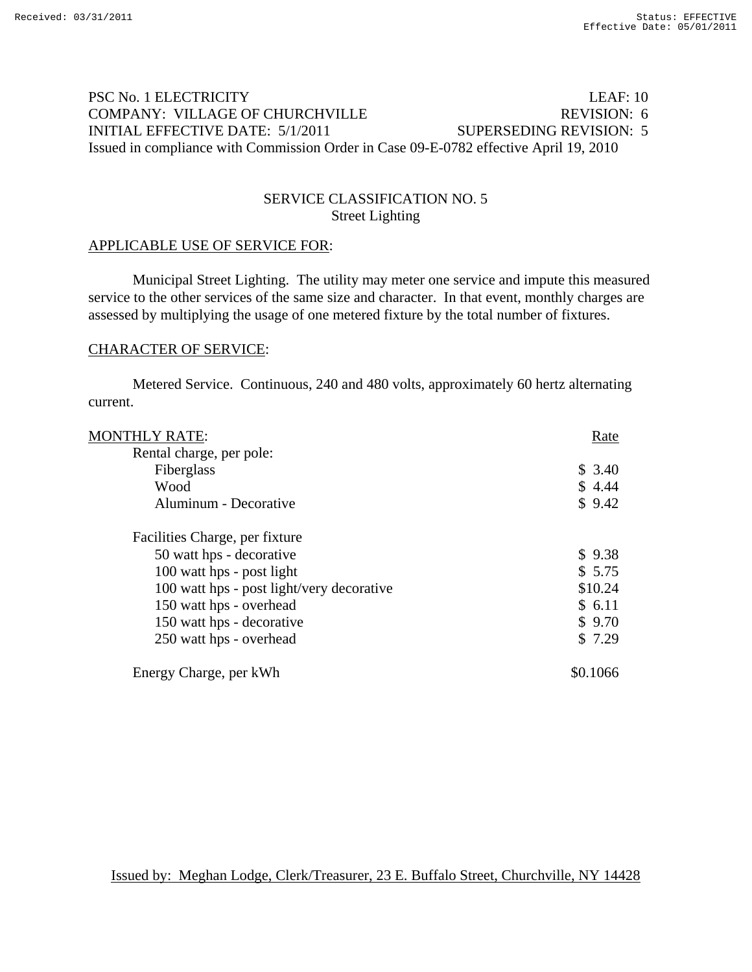# PSC No. 1 ELECTRICITY LEAF: 10 COMPANY: VILLAGE OF CHURCHVILLE REVISION: 6 INITIAL EFFECTIVE DATE: 5/1/2011 SUPERSEDING REVISION: 5 Issued in compliance with Commission Order in Case 09-E-0782 effective April 19, 2010

## SERVICE CLASSIFICATION NO. 5 Street Lighting

## APPLICABLE USE OF SERVICE FOR:

Municipal Street Lighting. The utility may meter one service and impute this measured service to the other services of the same size and character. In that event, monthly charges are assessed by multiplying the usage of one metered fixture by the total number of fixtures.

#### CHARACTER OF SERVICE:

Metered Service. Continuous, 240 and 480 volts, approximately 60 hertz alternating current.

| <b>MONTHLY RATE:</b>                      | Rate     |
|-------------------------------------------|----------|
| Rental charge, per pole:                  |          |
| Fiberglass                                | \$3.40   |
| Wood                                      | \$4.44   |
| Aluminum - Decorative                     | \$9.42   |
| Facilities Charge, per fixture            |          |
| 50 watt hps - decorative                  | \$9.38   |
| 100 watt hps - post light                 | \$5.75   |
| 100 watt hps - post light/very decorative | \$10.24  |
| 150 watt hps - overhead                   | \$6.11   |
| 150 watt hps - decorative                 | \$9.70   |
| 250 watt hps - overhead                   | \$7.29   |
| Energy Charge, per kWh                    | \$0.1066 |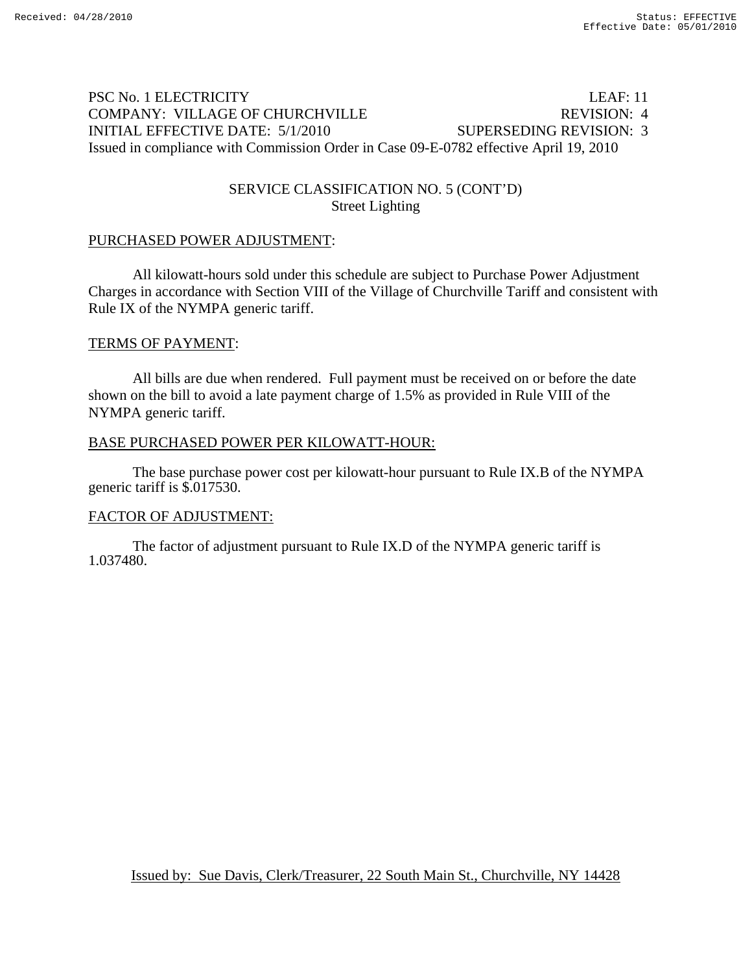# PSC No. 1 ELECTRICITY LEAF: 11 COMPANY: VILLAGE OF CHURCHVILLE REVISION: 4 INITIAL EFFECTIVE DATE: 5/1/2010 SUPERSEDING REVISION: 3 Issued in compliance with Commission Order in Case 09-E-0782 effective April 19, 2010

## SERVICE CLASSIFICATION NO. 5 (CONT'D) Street Lighting

## PURCHASED POWER ADJUSTMENT:

 All kilowatt-hours sold under this schedule are subject to Purchase Power Adjustment Charges in accordance with Section VIII of the Village of Churchville Tariff and consistent with Rule IX of the NYMPA generic tariff.

#### TERMS OF PAYMENT:

All bills are due when rendered. Full payment must be received on or before the date shown on the bill to avoid a late payment charge of 1.5% as provided in Rule VIII of the NYMPA generic tariff.

#### BASE PURCHASED POWER PER KILOWATT-HOUR:

 The base purchase power cost per kilowatt-hour pursuant to Rule IX.B of the NYMPA generic tariff is \$.017530.

## FACTOR OF ADJUSTMENT:

 The factor of adjustment pursuant to Rule IX.D of the NYMPA generic tariff is 1.037480.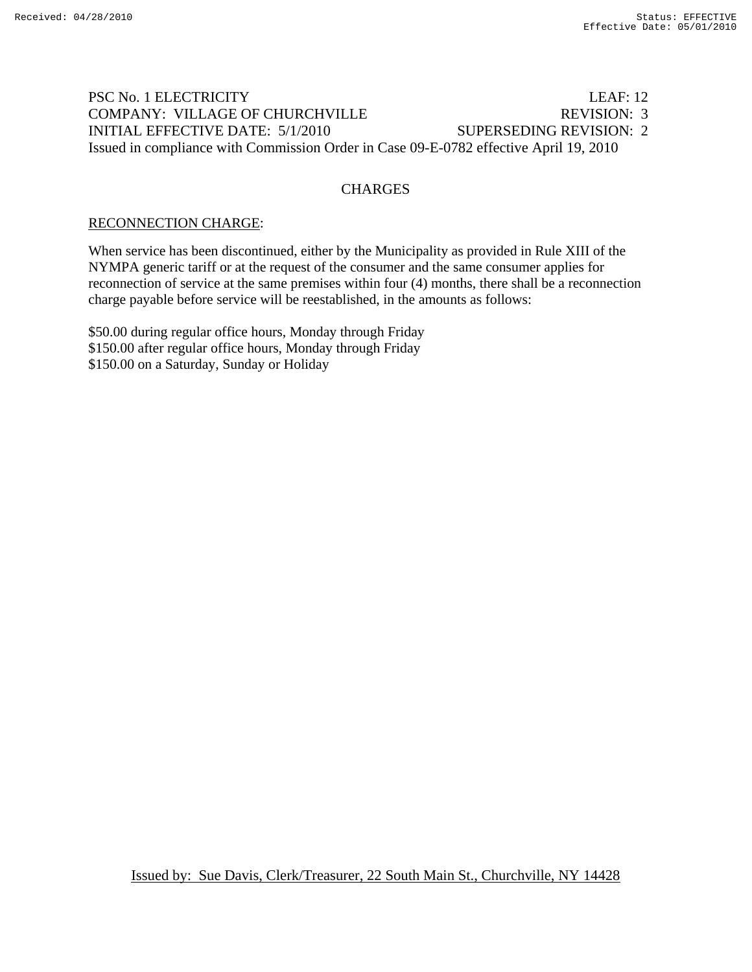# PSC No. 1 ELECTRICITY LEAF: 12 COMPANY: VILLAGE OF CHURCHVILLE REVISION: 3 INITIAL EFFECTIVE DATE: 5/1/2010 SUPERSEDING REVISION: 2 Issued in compliance with Commission Order in Case 09-E-0782 effective April 19, 2010

## **CHARGES**

## RECONNECTION CHARGE:

When service has been discontinued, either by the Municipality as provided in Rule XIII of the NYMPA generic tariff or at the request of the consumer and the same consumer applies for reconnection of service at the same premises within four (4) months, there shall be a reconnection charge payable before service will be reestablished, in the amounts as follows:

\$50.00 during regular office hours, Monday through Friday \$150.00 after regular office hours, Monday through Friday \$150.00 on a Saturday, Sunday or Holiday